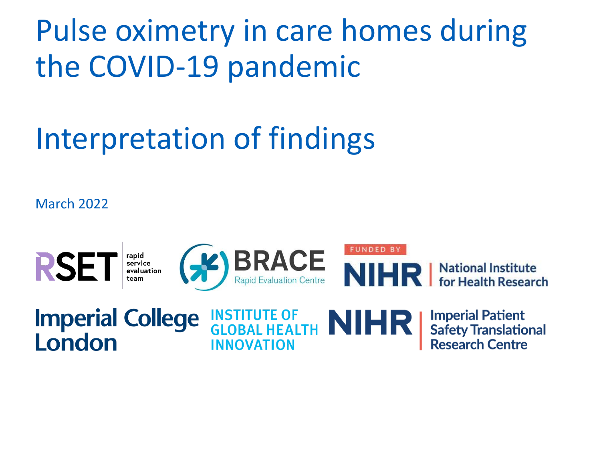Pulse oximetry in care homes during the COVID-19 pandemic

# Interpretation of findings

March 2022



### **Imperial College INSTITUTE OF NIHRI** London **INNOVATION**

**Imperial Patient Safety Translational** Research Centre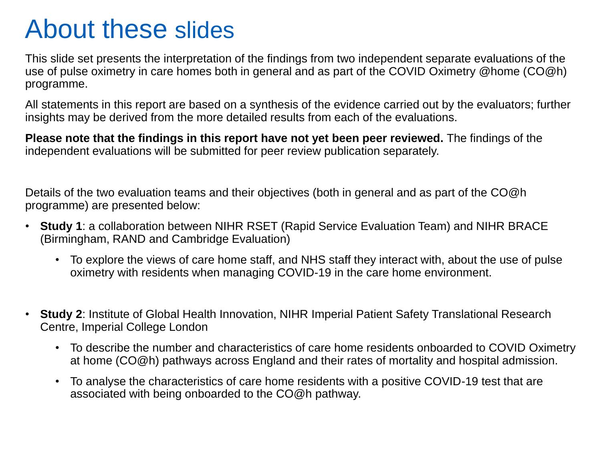## About these slides

This slide set presents the interpretation of the findings from two independent separate evaluations of the use of pulse oximetry in care homes both in general and as part of the COVID Oximetry @home (CO@h) programme.

All statements in this report are based on a synthesis of the evidence carried out by the evaluators; further insights may be derived from the more detailed results from each of the evaluations.

**Please note that the findings in this report have not yet been peer reviewed.** The findings of the independent evaluations will be submitted for peer review publication separately.

Details of the two evaluation teams and their objectives (both in general and as part of the CO@h programme) are presented below:

- **Study 1**: a collaboration between NIHR RSET (Rapid Service Evaluation Team) and NIHR BRACE (Birmingham, RAND and Cambridge Evaluation)
	- To explore the views of care home staff, and NHS staff they interact with, about the use of pulse oximetry with residents when managing COVID-19 in the care home environment.
- **Study 2**: Institute of Global Health Innovation, NIHR Imperial Patient Safety Translational Research Centre, Imperial College London
	- To describe the number and characteristics of care home residents onboarded to COVID Oximetry at home (CO@h) pathways across England and their rates of mortality and hospital admission.
	- To analyse the characteristics of care home residents with a positive COVID-19 test that are associated with being onboarded to the CO@h pathway.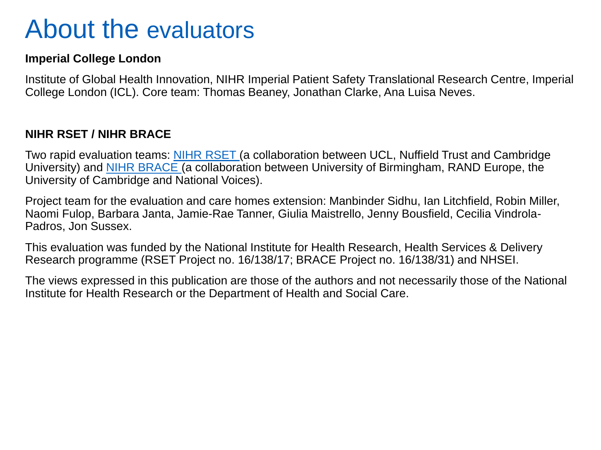## About the evaluators

### **Imperial College London**

Institute of Global Health Innovation, NIHR Imperial Patient Safety Translational Research Centre, Imperial College London (ICL). Core team: Thomas Beaney, Jonathan Clarke, Ana Luisa Neves.

### **NIHR RSET / NIHR BRACE**

Two rapid evaluation teams: [NIHR RSET \(](https://www.nuffieldtrust.org.uk/rset-the-rapid-service-evaluation-team)a collaboration between UCL, Nuffield Trust and Cambridge University) and [NIHR BRACE \(](https://www.birmingham.ac.uk/research/brace/index.aspx)a collaboration between University of Birmingham, RAND Europe, the University of Cambridge and National Voices).

Project team for the evaluation and care homes extension: Manbinder Sidhu, Ian Litchfield, Robin Miller, Naomi Fulop, Barbara Janta, Jamie-Rae Tanner, Giulia Maistrello, Jenny Bousfield, Cecilia Vindrola-Padros, Jon Sussex.

This evaluation was funded by the National Institute for Health Research, Health Services & Delivery Research programme (RSET Project no. 16/138/17; BRACE Project no. 16/138/31) and NHSEI.

The views expressed in this publication are those of the authors and not necessarily those of the National Institute for Health Research or the Department of Health and Social Care.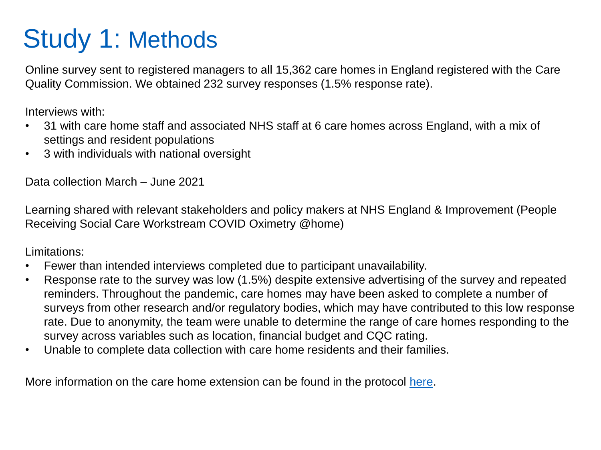## Study 1: Methods

Online survey sent to registered managers to all 15,362 care homes in England registered with the Care Quality Commission. We obtained 232 survey responses (1.5% response rate).

Interviews with:

- 31 with care home staff and associated NHS staff at 6 care homes across England, with a mix of settings and resident populations
- 3 with individuals with national oversight

Data collection March – June 2021

Learning shared with relevant stakeholders and policy makers at NHS England & Improvement (People Receiving Social Care Workstream COVID Oximetry @home)

Limitations:

- Fewer than intended interviews completed due to participant unavailability.
- Response rate to the survey was low (1.5%) despite extensive advertising of the survey and repeated reminders. Throughout the pandemic, care homes may have been asked to complete a number of surveys from other research and/or regulatory bodies, which may have contributed to this low response rate. Due to anonymity, the team were unable to determine the range of care homes responding to the survey across variables such as location, financial budget and CQC rating.
- Unable to complete data collection with care home residents and their families.

More information on the care home extension can be found in the protocol [here.](https://fundingawards.nihr.ac.uk/award/NIHR135017)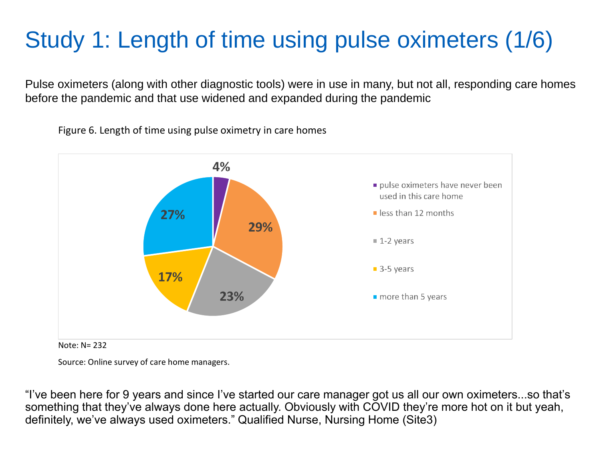## Study 1: Length of time using pulse oximeters (1/6)

Pulse oximeters (along with other diagnostic tools) were in use in many, but not all, responding care homes before the pandemic and that use widened and expanded during the pandemic

Figure 6. Length of time using pulse oximetry in care homes



Note: N= 232

Source: Online survey of care home managers.

"I've been here for 9 years and since I've started our care manager got us all our own oximeters...so that's something that they've always done here actually. Obviously with COVID they're more hot on it but yeah, definitely, we've always used oximeters." Qualified Nurse, Nursing Home (Site3)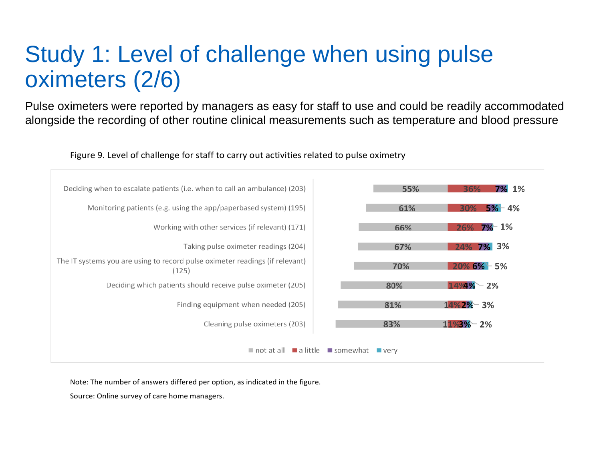### Study 1: Level of challenge when using pulse oximeters (2/6)

Pulse oximeters were reported by managers as easy for staff to use and could be readily accommodated alongside the recording of other routine clinical measurements such as temperature and blood pressure



Figure 9. Level of challenge for staff to carry out activities related to pulse oximetry

Note: The number of answers differed per option, as indicated in the figure.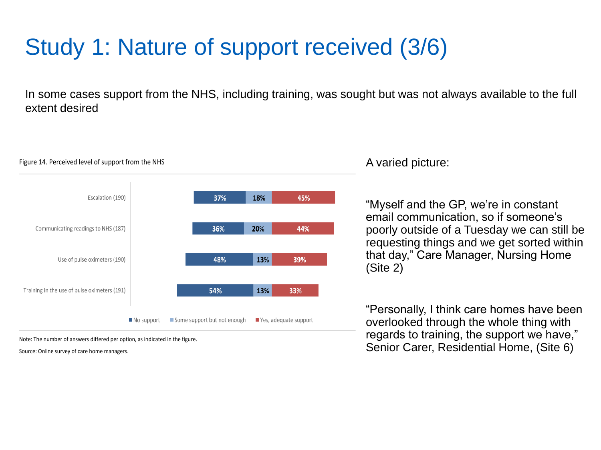## Study 1: Nature of support received (3/6)

In some cases support from the NHS, including training, was sought but was not always available to the full extent desired



#### Figure 14. Perceived level of support from the NHS

### A varied picture:

"Myself and the GP, we're in constant email communication, so if someone's poorly outside of a Tuesday we can still be requesting things and we get sorted within that day," Care Manager, Nursing Home (Site 2)

"Personally, I think care homes have been overlooked through the whole thing with regards to training, the support we have," Senior Carer, Residential Home, (Site 6)

Note: The number of answers differed per option, as indicated in the figure.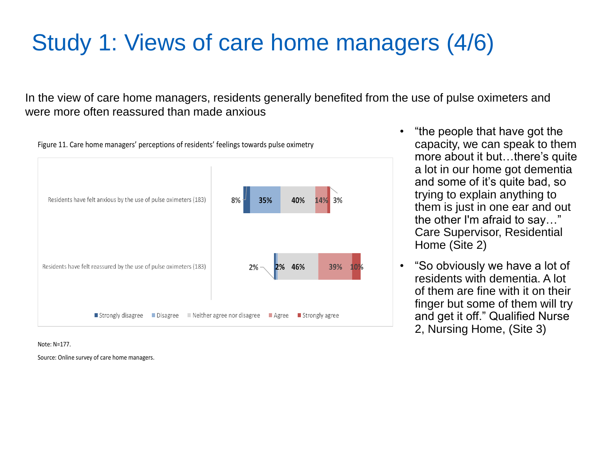## Study 1: Views of care home managers (4/6)

In the view of care home managers, residents generally benefited from the use of pulse oximeters and were more often reassured than made anxious



Figure 11. Care home managers' perceptions of residents' feelings towards pulse oximetry

Note: N=177.

- "the people that have got the capacity, we can speak to them more about it but…there's quite a lot in our home got dementia and some of it's quite bad, so trying to explain anything to them is just in one ear and out the other I'm afraid to say…" Care Supervisor, Residential Home (Site 2)
- "So obviously we have a lot of residents with dementia. A lot of them are fine with it on their finger but some of them will try and get it off." Qualified Nurse 2, Nursing Home, (Site 3)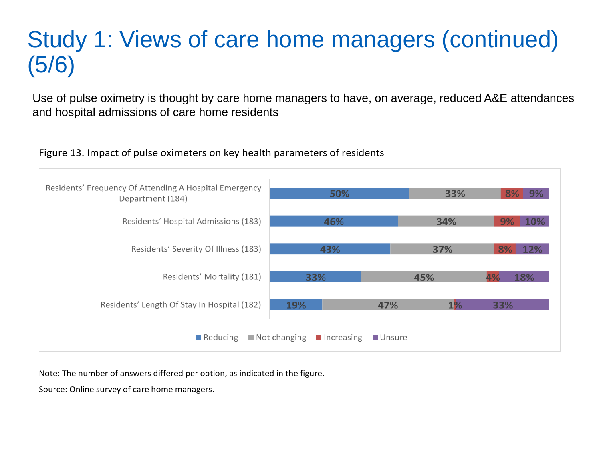## Study 1: Views of care home managers (continued) (5/6)

Use of pulse oximetry is thought by care home managers to have, on average, reduced A&E attendances and hospital admissions of care home residents

#### Residents' Frequency Of Attending A Hospital Emergency 50% 33%  $9%$ Department (184) Residents' Hospital Admissions (183) 46% 34% 10% Residents' Severity Of Illness (183) 43% 37%  $12%$ Residents' Mortality (181) 33% 45% 18% Residents' Length Of Stay In Hospital (182) 19% 47%  $1\%$ 33% Reducing  $\blacksquare$  Not changing  $\blacksquare$  Increasing Unsure

Figure 13. Impact of pulse oximeters on key health parameters of residents

Note: The number of answers differed per option, as indicated in the figure.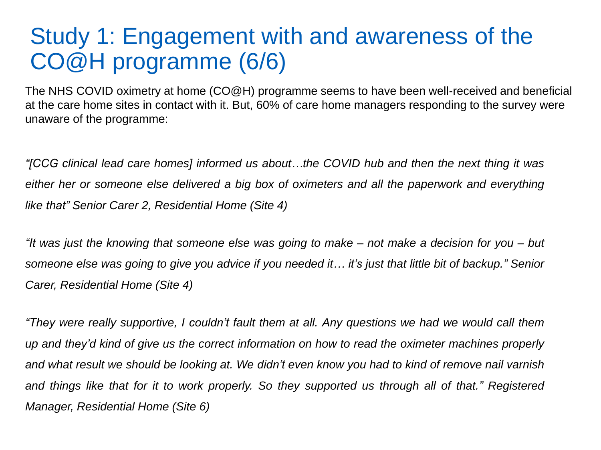### Study 1: Engagement with and awareness of the CO@H programme (6/6)

The NHS COVID oximetry at home (CO@H) programme seems to have been well-received and beneficial at the care home sites in contact with it. But, 60% of care home managers responding to the survey were unaware of the programme:

*"[CCG clinical lead care homes] informed us about…the COVID hub and then the next thing it was either her or someone else delivered a big box of oximeters and all the paperwork and everything like that" Senior Carer 2, Residential Home (Site 4)*

"It was just the knowing that someone else was going to make – not make a decision for you – but someone else was going to give you advice if you needed it... it's just that little bit of backup." Senior *Carer, Residential Home (Site 4)*

"They were really supportive, I couldn't fault them at all. Any questions we had we would call them up and they'd kind of give us the correct information on how to read the oximeter machines properly and what result we should be looking at. We didn't even know you had to kind of remove nail varnish and things like that for it to work properly. So they supported us through all of that." Registered *Manager, Residential Home (Site 6)*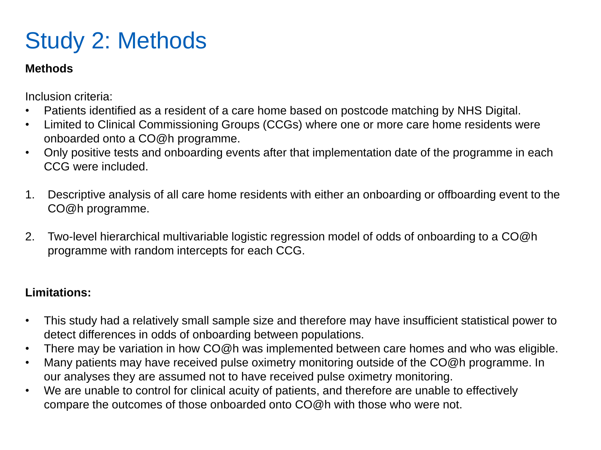## Study 2: Methods

### **Methods**

Inclusion criteria:

- Patients identified as a resident of a care home based on postcode matching by NHS Digital.
- Limited to Clinical Commissioning Groups (CCGs) where one or more care home residents were onboarded onto a CO@h programme.
- Only positive tests and onboarding events after that implementation date of the programme in each CCG were included.
- 1. Descriptive analysis of all care home residents with either an onboarding or offboarding event to the CO@h programme.
- 2. Two-level hierarchical multivariable logistic regression model of odds of onboarding to a CO@h programme with random intercepts for each CCG.

### **Limitations:**

- This study had a relatively small sample size and therefore may have insufficient statistical power to detect differences in odds of onboarding between populations.
- There may be variation in how CO@h was implemented between care homes and who was eligible.
- Many patients may have received pulse oximetry monitoring outside of the CO@h programme. In our analyses they are assumed not to have received pulse oximetry monitoring.
- We are unable to control for clinical acuity of patients, and therefore are unable to effectively compare the outcomes of those onboarded onto CO@h with those who were not.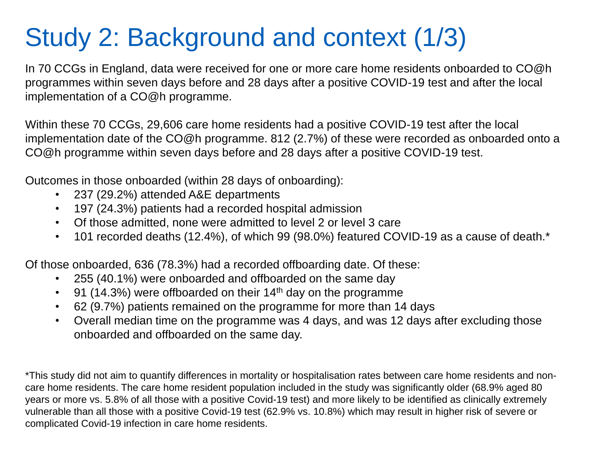## Study 2: Background and context (1/3)

In 70 CCGs in England, data were received for one or more care home residents onboarded to CO@h programmes within seven days before and 28 days after a positive COVID-19 test and after the local implementation of a CO@h programme.

Within these 70 CCGs, 29,606 care home residents had a positive COVID-19 test after the local implementation date of the CO@h programme. 812 (2.7%) of these were recorded as onboarded onto a CO@h programme within seven days before and 28 days after a positive COVID-19 test.

Outcomes in those onboarded (within 28 days of onboarding):

- 237 (29.2%) attended A&E departments
- 197 (24.3%) patients had a recorded hospital admission
- Of those admitted, none were admitted to level 2 or level 3 care
- 101 recorded deaths (12.4%), of which 99 (98.0%) featured COVID-19 as a cause of death.\*

Of those onboarded, 636 (78.3%) had a recorded offboarding date. Of these:

- 255 (40.1%) were onboarded and offboarded on the same day
- 91 (14.3%) were offboarded on their 14th day on the programme
- 62 (9.7%) patients remained on the programme for more than 14 days
- Overall median time on the programme was 4 days, and was 12 days after excluding those onboarded and offboarded on the same day.

\*This study did not aim to quantify differences in mortality or hospitalisation rates between care home residents and noncare home residents. The care home resident population included in the study was significantly older (68.9% aged 80 years or more vs. 5.8% of all those with a positive Covid-19 test) and more likely to be identified as clinically extremely vulnerable than all those with a positive Covid-19 test (62.9% vs. 10.8%) which may result in higher risk of severe or complicated Covid-19 infection in care home residents.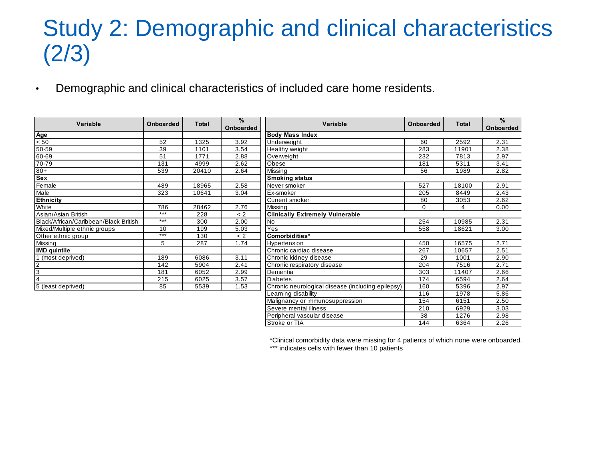### Study 2: Demographic and clinical characteristics (2/3)

• Demographic and clinical characteristics of included care home residents.

| Variable                              | <b>Onboarded</b> | <b>Total</b> | %<br>Onboarded | <b>Variable</b>                                   | Onboarded       | <b>Total</b> | $\frac{0}{0}$<br>Onboarded |  |  |
|---------------------------------------|------------------|--------------|----------------|---------------------------------------------------|-----------------|--------------|----------------------------|--|--|
| Age                                   |                  |              |                | <b>Body Mass Index</b>                            |                 |              |                            |  |  |
| < 50                                  | 52               | 1325         | 3.92           | Underweight                                       | 60              | 2592         | 2.31                       |  |  |
| 50-59                                 | 39               | 1101         | 3.54           | Healthy weight                                    | 283             | 11901        | 2.38                       |  |  |
| 60-69                                 | 51               | 1771         | 2.88           | Overweight                                        | 232             | 7813         | 2.97                       |  |  |
| 70-79                                 | 131              | 4999         | 2.62           | Obese                                             | 181             | 5311         | 3.41                       |  |  |
| $+08$                                 | 539              | 20410        | 2.64           | Missing                                           | 56              | 1989         | 2.82                       |  |  |
| Sex                                   |                  |              |                | <b>Smoking status</b>                             |                 |              |                            |  |  |
| Female                                | 489              | 18965        | 2.58           | Never smoker                                      | 527             | 18100        | 2.91                       |  |  |
| Male                                  | 323              | 10641        | 3.04           | Ex-smoker                                         | 205             | 8449         | 2.43                       |  |  |
| <b>Ethnicity</b>                      |                  |              |                | Current smoker                                    | 80              | 3053         | 2.62                       |  |  |
| White                                 | 786              | 28462        | 2.76           | Missing                                           | $\Omega$        | 4            | 0.00                       |  |  |
| Asian/Asian British                   | $***$            | 228          | < 2            | <b>Clinically Extremely Vulnerable</b>            |                 |              |                            |  |  |
| Black/African/Caribbean/Black British | $***$            | 300          | 2.00           | <b>No</b>                                         | 254             | 10985        | 2.31                       |  |  |
| Mixed/Multiple ethnic groups          | 10               | 199          | 5.03           | Yes                                               | 558             | 18621        | 3.00                       |  |  |
| Other ethnic group                    | $***$            | 130          | < 2            | Comorbidities*                                    |                 |              |                            |  |  |
| Missing                               | 5                | 287          | 1.74           | Hypertension                                      | 450             | 16575        | 2.71                       |  |  |
| <b>IMD</b> quintile                   |                  |              |                | Chronic cardiac disease                           | 267             | 10657        | 2.51                       |  |  |
| (most deprived)                       | 189              | 6086         | 3.11           | Chronic kidney disease                            | 29              | 1001         | 2.90                       |  |  |
| $\overline{2}$                        | 142              | 5904         | 2.41           | Chronic respiratory disease                       | 204             | 7516         | 2.71                       |  |  |
| 3                                     | 181              | 6052         | 2.99           | Dementia                                          | 303             | 11407        | 2.66                       |  |  |
|                                       | 215              | 6025         | 3.57           | <b>Diabetes</b>                                   | 174             | 6594         | 2.64                       |  |  |
| 5 (least deprived)                    | 85               | 5539         | 1.53           | Chronic neurological disease (including epilepsy) | 160             | 5396         | 2.97                       |  |  |
|                                       |                  |              |                | Learning disability                               | 116             | 1978         | 5.86                       |  |  |
|                                       |                  |              |                | Malignancy or immunosuppression                   | 154             | 6151         | 2.50                       |  |  |
|                                       |                  |              |                | Severe mental illness                             | 210             | 6929         | 3.03                       |  |  |
|                                       |                  |              |                | Peripheral vascular disease                       | $\overline{38}$ | 1276         | 2.98                       |  |  |
|                                       |                  |              |                | Stroke or TIA                                     | 144             | 6364         | 2.26                       |  |  |

\*Clinical comorbidity data were missing for 4 patients of which none were onboarded. \*\*\* indicates cells with fewer than 10 patients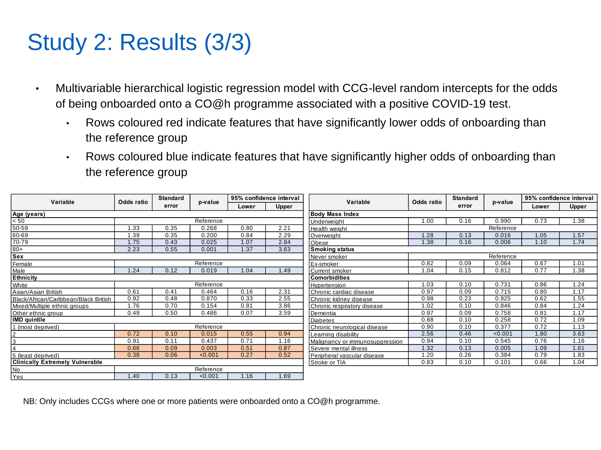## Study 2: Results (3/3)

- Multivariable hierarchical logistic regression model with CCG-level random intercepts for the odds of being onboarded onto a CO@h programme associated with a positive COVID-19 test.
	- Rows coloured red indicate features that have significantly lower odds of onboarding than the reference group
	- Rows coloured blue indicate features that have significantly higher odds of onboarding than the reference group

| Variable                               | Odds ratio             | <b>Standard</b><br>error | p-value   | 95% confidence interval |                              |                                 |            | <b>Standard</b> |         | 95% confidence interval |       |  |
|----------------------------------------|------------------------|--------------------------|-----------|-------------------------|------------------------------|---------------------------------|------------|-----------------|---------|-------------------------|-------|--|
|                                        |                        |                          |           | Lower                   | <b>Upper</b>                 | Variable                        | Odds ratio | error           | p-value | Lower                   | Upper |  |
| Age (years)                            | <b>Body Mass Index</b> |                          |           |                         |                              |                                 |            |                 |         |                         |       |  |
| $\leq 50$<br>Reference                 |                        |                          |           |                         |                              | Jnderweiaht                     | 1.00       | 0.16            | 0.990   | 0.73                    | 1.38  |  |
| 50-59                                  | 1.33                   | 0.35                     | 0.268     | 0.80                    | 2.21                         | Health weight                   |            | Reference       |         |                         |       |  |
| 60-69                                  | 1.39                   | 0.35                     | 0.200     | 0.84                    | 2.29                         | Overweight                      | 1.28       | 0.13            | 0.016   | 1.05                    | 1.57  |  |
| 70-79                                  | 1.75                   | 0.43                     | 0.025     | 1.07                    | 2.84                         | Obese                           | 1.38       | 0.16            | 0.006   | 1.10                    | 1.74  |  |
| $80+$                                  | 2.23                   | 0.55                     | 0.001     | 1.37                    | 3.63                         | <b>Smoking status</b>           |            |                 |         |                         |       |  |
| Sex                                    | Never smoker           | Reference                |           |                         |                              |                                 |            |                 |         |                         |       |  |
| Female                                 |                        |                          | Reference |                         |                              | Ex-smoker                       | 0.82       | 0.09            | 0.064   | 0.67                    | 1.01  |  |
| Male                                   | 1.24                   | 0.12                     | 0.019     | .04                     | 1.49                         | Current smoker                  | 1.04       | 0.15            | 0.812   | 0.77                    | 1.38  |  |
| <b>Ethnicity</b>                       | <b>Comorbidities</b>   |                          |           |                         |                              |                                 |            |                 |         |                         |       |  |
| White                                  |                        | Reference                |           |                         |                              | Hypertension                    | 1.03       | 0.10            | 0.731   | 0.86                    | 1.24  |  |
| Asian/Asian British                    | 0.61                   | 0.41                     | 0.464     | 0.16                    | 2.31                         | Chronic cardiac disease         | 0.97       | 0.09            | 0.715   | 0.80                    | 1.17  |  |
| Black/African/Caribbean/Black British  | 0.92                   | 0.48                     | 0.870     | 0.33                    | 2.55                         | Chronic kidney disease          | 0.98       | 0.23            | 0.925   | 0.62                    | 1.55  |  |
| Mixed/Multiple ethnic groups           | 1.76                   | 0.70                     | 0.154     | 0.81                    | 3.86                         | Chronic respiratory disease     | 1.02       | 0.10            | 0.846   | 0.84                    | 1.24  |  |
| Other ethnic group                     | 0.49                   | 0.50                     | 0.486     | 0.07                    | 3.59                         | Dementia                        | 0.97       | 0.09            | 0.758   | 0.81                    | 1.17  |  |
| <b>IMD</b> quintile                    |                        |                          |           |                         |                              | Diabetes                        | 0.88       | 0.10            | 0.258   | 0.72                    | 1.09  |  |
| 1 (most deprived)                      | Reference              |                          |           |                         | Chronic neurological disease | 0.90                            | 0.10       | 0.377           | 0.72    | 1.13                    |       |  |
| $\overline{2}$                         | 0.72                   | 0.10                     | 0.015     | 0.55                    | 0.94                         | earning disability              | 2.56       | 0.46            | < 0.001 | 1.80                    | 3.63  |  |
| 3                                      | 0.91                   | 0.11                     | 0.437     | 0.71                    | 1.16                         | Malignancy or immunosuppression | 0.94       | 0.10            | 0.545   | 0.76                    | 1.16  |  |
| $\overline{4}$                         | 0.66                   | 0.09                     | 0.003     | 0.51                    | 0.87                         | Severe mental illness           | 1.32       | 0.13            | 0.005   | 1.09                    | 1.61  |  |
| 5 (least deprived)                     | 0.38                   | 0.06                     | < 0.001   | 0.27                    | 0.52                         | Peripheral vascular disease     | .20        | 0.26            | 0.384   | 0.79                    | 1.83  |  |
| <b>Clinically Extremely Vulnerable</b> |                        |                          |           |                         |                              | Stroke or TIA                   | 0.83       | 0.10            | 0.101   | 0.66                    | 1.04  |  |
| <b>No</b>                              |                        |                          | Reference |                         |                              |                                 |            |                 |         |                         |       |  |
| Yes                                    | 1.40                   | 0.13                     | < 0.001   | .16                     | 1.69                         |                                 |            |                 |         |                         |       |  |

NB: Only includes CCGs where one or more patients were onboarded onto a CO@h programme.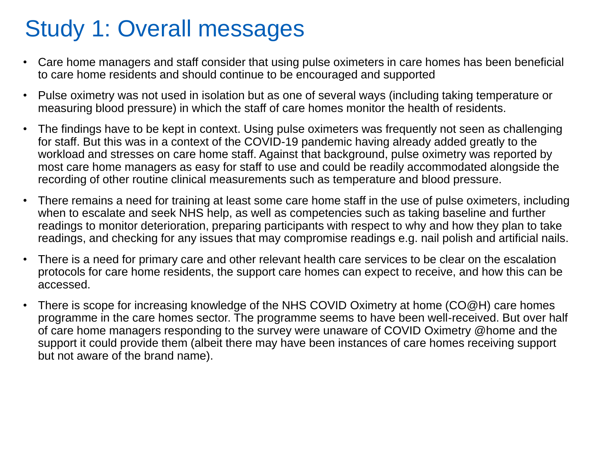### Study 1: Overall messages

- Care home managers and staff consider that using pulse oximeters in care homes has been beneficial to care home residents and should continue to be encouraged and supported
- Pulse oximetry was not used in isolation but as one of several ways (including taking temperature or measuring blood pressure) in which the staff of care homes monitor the health of residents.
- The findings have to be kept in context. Using pulse oximeters was frequently not seen as challenging for staff. But this was in a context of the COVID-19 pandemic having already added greatly to the workload and stresses on care home staff. Against that background, pulse oximetry was reported by most care home managers as easy for staff to use and could be readily accommodated alongside the recording of other routine clinical measurements such as temperature and blood pressure.
- There remains a need for training at least some care home staff in the use of pulse oximeters, including when to escalate and seek NHS help, as well as competencies such as taking baseline and further readings to monitor deterioration, preparing participants with respect to why and how they plan to take readings, and checking for any issues that may compromise readings e.g. nail polish and artificial nails.
- There is a need for primary care and other relevant health care services to be clear on the escalation protocols for care home residents, the support care homes can expect to receive, and how this can be accessed.
- There is scope for increasing knowledge of the NHS COVID Oximetry at home (CO@H) care homes programme in the care homes sector. The programme seems to have been well-received. But over half of care home managers responding to the survey were unaware of COVID Oximetry @home and the support it could provide them (albeit there may have been instances of care homes receiving support but not aware of the brand name).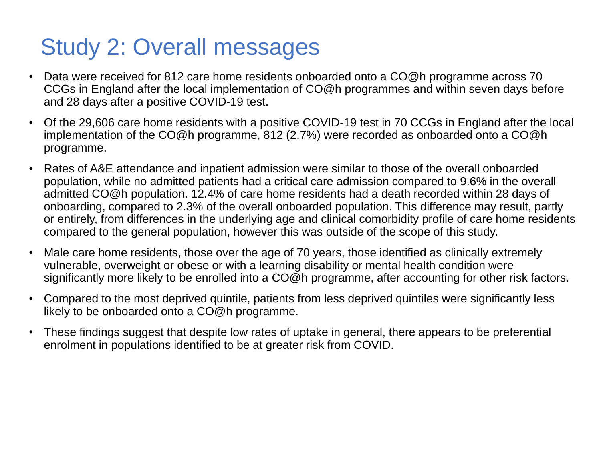### Study 2: Overall messages

- Data were received for 812 care home residents onboarded onto a CO@h programme across 70 CCGs in England after the local implementation of CO@h programmes and within seven days before and 28 days after a positive COVID-19 test.
- Of the 29,606 care home residents with a positive COVID-19 test in 70 CCGs in England after the local implementation of the CO@h programme, 812 (2.7%) were recorded as onboarded onto a CO@h programme.
- Rates of A&E attendance and inpatient admission were similar to those of the overall onboarded population, while no admitted patients had a critical care admission compared to 9.6% in the overall admitted CO@h population. 12.4% of care home residents had a death recorded within 28 days of onboarding, compared to 2.3% of the overall onboarded population. This difference may result, partly or entirely, from differences in the underlying age and clinical comorbidity profile of care home residents compared to the general population, however this was outside of the scope of this study.
- Male care home residents, those over the age of 70 years, those identified as clinically extremely vulnerable, overweight or obese or with a learning disability or mental health condition were significantly more likely to be enrolled into a CO@h programme, after accounting for other risk factors.
- Compared to the most deprived quintile, patients from less deprived quintiles were significantly less likely to be onboarded onto a CO@h programme.
- These findings suggest that despite low rates of uptake in general, there appears to be preferential enrolment in populations identified to be at greater risk from COVID.